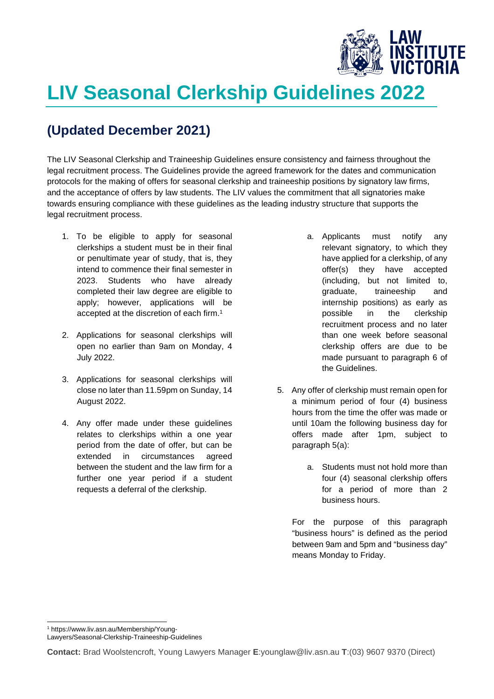

## **LIV Seasonal Clerkship Guidelines 2022**

## **(Updated December 2021)**

The LIV Seasonal Clerkship and Traineeship Guidelines ensure consistency and fairness throughout the legal recruitment process. The Guidelines provide the agreed framework for the dates and communication protocols for the making of offers for seasonal clerkship and traineeship positions by signatory law firms, and the acceptance of offers by law students. The LIV values the commitment that all signatories make towards ensuring compliance with these guidelines as the leading industry structure that supports the legal recruitment process.

- 1. To be eligible to apply for seasonal clerkships a student must be in their final or penultimate year of study, that is, they intend to commence their final semester in 2023. Students who have already completed their law degree are eligible to apply; however, applications will be accepted at the discretion of each firm.<sup>1</sup>
- 2. Applications for seasonal clerkships will open no earlier than 9am on Monday, 4 July 2022.
- 3. Applications for seasonal clerkships will close no later than 11.59pm on Sunday, 14 August 2022.
- 4. Any offer made under these guidelines relates to clerkships within a one year period from the date of offer, but can be extended in circumstances agreed between the student and the law firm for a further one year period if a student requests a deferral of the clerkship.
- a. Applicants must notify any relevant signatory, to which they have applied for a clerkship, of any offer(s) they have accepted (including, but not limited to, graduate, traineeship and internship positions) as early as possible in the clerkship recruitment process and no later than one week before seasonal clerkship offers are due to be made pursuant to paragraph 6 of the Guidelines.
- 5. Any offer of clerkship must remain open for a minimum period of four (4) business hours from the time the offer was made or until 10am the following business day for offers made after 1pm, subject to paragraph 5(a):
	- a. Students must not hold more than four (4) seasonal clerkship offers for a period of more than 2 business hours.

For the purpose of this paragraph "business hours" is defined as the period between 9am and 5pm and "business day" means Monday to Friday.

1 https://www.liv.asn.au/Membership/Young-

Lawyers/Seasonal-Clerkship-Traineeship-Guidelines